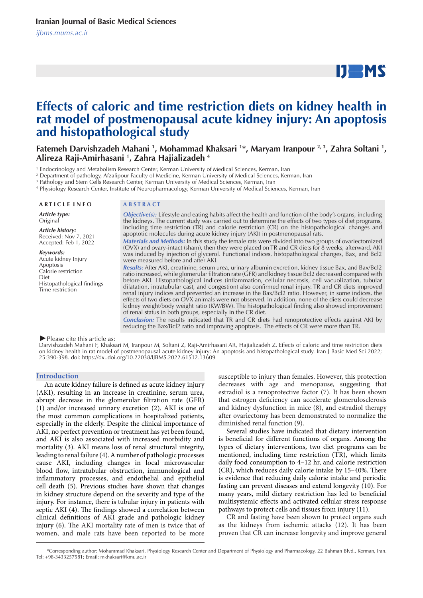# $IJ$  MS

# **Effects of caloric and time restriction diets on kidney health in rat model of postmenopausal acute kidney injury: An apoptosis and histopathological study**

**Fatemeh Darvishzadeh Mahani <sup>1</sup>, Mohammad Khaksari <sup>1\*</sup>, Maryam Iranpour <sup>2, 3</sup>, Zahra Soltani <sup>1</sup>, Alireza Raji-Amirhasani 1 , Zahra Hajializadeh 4**

1 Endocrinology and Metabolism Research Center, Kerman University of Medical Sciences, Kerman, Iran

2 Department of pathology, Afzalipour Faculty of Medicine, Kerman University of Medical Sciences, Kerman, Iran

3 Pathology and Stem Cells Research Center, Kerman University of Medical Sciences, Kerman, Iran

4 Physiology Research Center, Institute of Neuropharmacology, Kerman University of Medical Sciences, Kerman, Iran

#### **A R T I C L E I N F O A B S T R A C T**

*Article type:* **Original** 

*Article history:* Received: Nov 7, 2021 Accepted: Feb 1, 2022

*Keywords:*

Acute kidney Injury Apoptosis Calorie restriction Diet Histopathological findings Time restriction

*Objective(s):* Lifestyle and eating habits affect the health and function of the body's organs, including the kidneys. The current study was carried out to determine the effects of two types of diet programs, including time restriction (TR) and calorie restriction (CR) on the histopathological changes and apoptotic molecules during acute kidney injury (AKI) in postmenopausal rats.

*Materials and Methods:* In this study the female rats were divided into two groups of ovariectomized (OVX) and ovary-intact (sham), then they were placed on TR and CR diets for 8 weeks; afterward, AKI was induced by injection of glycerol. Functional indices, histopathological changes, Bax, and Bcl2 were measured before and after AKI.

*Results:* After AKI, creatinine, serum urea, urinary albumin excretion, kidney tissue Bax, and Bax/Bcl2 ratio increased, while glomerular filtration rate (GFR) and kidney tissue Bcl2 decreased compared with before AKI. Histopathological indices (inflammation, cellular necrosis, cell vacuolization, tubular dilatation, intratubular cast, and congestion) also confirmed renal injury. TR and CR diets improved renal injury indices and prevented an increase in the Bax/Bcl2 ratio. However, in some indices, the effects of two diets on OVX animals were not observed. In addition, none of the diets could decrease kidney weight/body weight ratio (KW/BW). The histopathological finding also showed improvement of renal status in both groups, especially in the CR diet.

*Conclusion:* The results indicated that TR and CR diets had renoprotective effects against AKI by reducing the Bax/Bcl2 ratio and improving apoptosis. The effects of CR were more than TR.

*►*Please cite this article as:

Darvishzadeh Mahani F, Khaksari M, Iranpour M, Soltani Z, Raji-Amirhasani AR, Hajializadeh Z. Effects of caloric and time restriction diets on kidney health in rat model of postmenopausal acute kidney injury: An apoptosis and histopathological study. Iran J Basic Med Sci 2022; 25:390-398. doi: https://dx..doi.org/10.22038/IJBMS.2022.61512.13609

#### **Introduction**

An acute kidney failure is defined as acute kidney injury (AKI), resulting in an increase in creatinine, serum urea, abrupt decrease in the glomerular filtration rate (GFR) (1) and/or increased urinary excretion (2). AKI is one of the most common complications in hospitalized patients, especially in the elderly. Despite the clinical importance of AKI, no perfect prevention or treatment has yet been found, and AKI is also associated with increased morbidity and mortality (3). AKI means loss of renal structural integrity, leading to renal failure (4). A number of pathologic processes cause AKI, including changes in local microvascular blood flow, intratubular obstruction, immunological and inflammatory processes, and endothelial and epithelial cell death (5). Previous studies have shown that changes in kidney structure depend on the severity and type of the injury. For instance, there is tubular injury in patients with septic AKI (4). The findings showed a correlation between clinical definitions of AKI grade and pathologic kidney injury (6). The AKI mortality rate of men is twice that of women, and male rats have been reported to be more

susceptible to injury than females. However, this protection decreases with age and menopause, suggesting that estradiol is a renoprotective factor (7). It has been shown that estrogen deficiency can accelerate glomerulosclerosis and kidney dysfunction in mice (8), and estradiol therapy after ovariectomy has been demonstrated to normalize the diminished renal function (9).

Several studies have indicated that dietary intervention is beneficial for different functions of organs. Among the types of dietary interventions, two diet programs can be mentioned, including time restriction (TR), which limits daily food consumption to 4–12 hr, and calorie restriction (CR), which reduces daily calorie intake by 15–40%. There is evidence that reducing daily calorie intake and periodic fasting can prevent diseases and extend longevity (10). For many years, mild dietary restriction has led to beneficial multisystemic effects and activated cellular stress response pathways to protect cells and tissues from injury (11).

CR and fasting have been shown to protect organs such as the kidneys from ischemic attacks (12). It has been proven that CR can increase longevity and improve general

 \*Corresponding author: Mohammad Khaksari. Physiology Research Center and Department of Physiology and Pharmacology, 22 Bahman Blvd., Kerman, Iran. Tel: +98-3433257581; Email: mkhaksari@kmu.ac.ir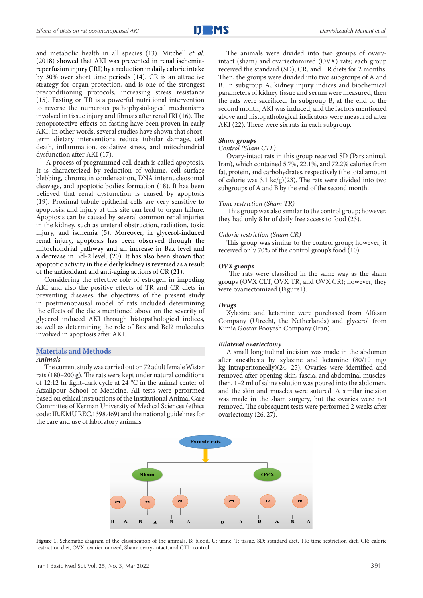and metabolic health in all species (13). Mitchell *et al*. (2018) showed that AKI was prevented in renal ischemiareperfusion injury (IRI) by a reduction in daily calorie intake by 30% over short time periods (14). CR is an attractive strategy for organ protection, and is one of the strongest preconditioning protocols, increasing stress resistance (15). Fasting or TR is a powerful nutritional intervention to reverse the numerous pathophysiological mechanisms involved in tissue injury and fibrosis after renal IRI (16). The renoprotective effects on fasting have been proven in early AKI. In other words, several studies have shown that shortterm dietary interventions reduce tubular damage, cell death, inflammation, oxidative stress, and mitochondrial dysfunction after AKI (17).

 A process of programmed cell death is called apoptosis. It is characterized by reduction of volume, cell surface blebbing, chromatin condensation, DNA internucleosomal cleavage, and apoptotic bodies formation (18). It has been believed that renal dysfunction is caused by apoptosis (19). Proximal tubule epithelial cells are very sensitive to apoptosis, and injury at this site can lead to organ failure. Apoptosis can be caused by several common renal injuries in the kidney, such as ureteral obstruction, radiation, toxic injury, and ischemia (5). Moreover, in glycerol-induced renal injury, apoptosis has been observed through the mitochondrial pathway and an increase in Bax level and a decrease in Bcl-2 level. (20). It has also been shown that apoptotic activity in the elderly kidney is reversed as a result of the antioxidant and anti-aging actions of CR (21).

Considering the effective role of estrogen in impeding AKI and also the positive effects of TR and CR diets in preventing diseases, the objectives of the present study in postmenopausal model of rats included determining the effects of the diets mentioned above on the severity of glycerol induced AKI through histopathological indices, as well as determining the role of Bax and Bcl2 molecules involved in apoptosis after AKI.

### **Materials and Methods**

# *Animals*

The current study was carried out on 72 adult female Wistar rats (180–200 g). The rats were kept under natural conditions of 12:12 hr light-dark cycle at 24 °C in the animal center of Afzalipour School of Medicine. All tests were performed based on ethical instructions of the Institutional Animal Care Committee of Kerman University of Medical Sciences (ethics code: IR.KMU.REC.1398.469) and the national guidelines for the care and use of laboratory animals.

The animals were divided into two groups of ovaryintact (sham) and ovariectomized (OVX) rats; each group received the standard (SD), CR, and TR diets for 2 months. Then, the groups were divided into two subgroups of A and B. In subgroup A, kidney injury indices and biochemical parameters of kidney tissue and serum were measured, then the rats were sacrificed. In subgroup B, at the end of the second month, AKI was induced, and the factors mentioned above and histopathological indicators were measured after AKI (22). There were six rats in each subgroup.

#### *Sham groups*

#### *Control (Sham CTL)*

Ovary-intact rats in this group received SD (Pars animal, Iran), which contained 5.7%, 22.1%, and 72.2% calories from fat, protein, and carbohydrates, respectively (the total amount of calorie was 3.1 kc/g)(23). The rats were divided into two subgroups of A and B by the end of the second month.

#### *Time restriction (Sham TR)*

 This group was also similar to the control group; however, they had only 8 hr of daily free access to food (23).

#### *Calorie restriction (Sham CR)*

This group was similar to the control group; however, it received only 70% of the control group's food (10).

#### *OVX groups*

The rats were classified in the same way as the sham groups (OVX CLT, OVX TR, and OVX CR); however, they were ovariectomized (Figure1).

#### *Drugs*

Xylazine and ketamine were purchased from Alfasan Company (Utrecht, the Netherlands) and glycerol from Kimia Gostar Pooyesh Company (Iran).

#### *Bilateral ovariectomy*

A small longitudinal incision was made in the abdomen after anesthesia by xylazine and ketamine (80/10 mg/ kg intraperitoneally)(24, 25). Ovaries were identified and removed after opening skin, fascia, and abdominal muscles; then, 1–2 ml of saline solution was poured into the abdomen, and the skin and muscles were sutured. A similar incision was made in the sham surgery, but the ovaries were not removed. The subsequent tests were performed 2 weeks after ovariectomy (26, 27).



**Figure 1.** Schematic diagram of the classification of the animals. B: blood, U: urine, T: tissue, SD: standard diet, TR: time restriction diet, CR: calorie restriction diet, OVX: ovariectomized, Sham: ovary-intact, and CTL: control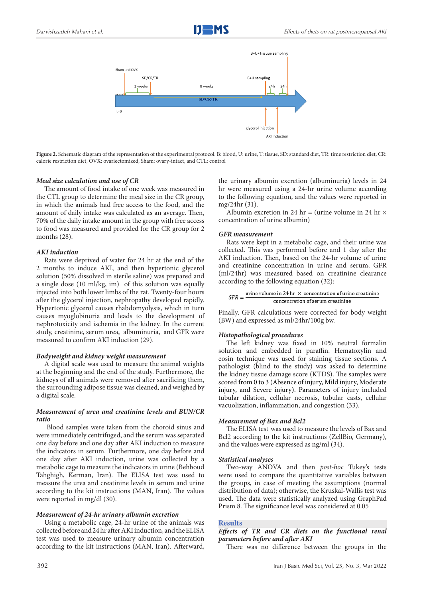

**Figure 2.** Schematic diagram of the representation of the experimental protocol. B: blood, U: urine, T: tissue, SD: standard diet, TR: time restriction diet, CR: calorie restriction diet, OVX: ovariectomized, Sham: ovary-intact, and CTL: control

# *Meal size calculation and use of CR*

The amount of food intake of one week was measured in the CTL group to determine the meal size in the CR group, in which the animals had free access to the food, and the amount of daily intake was calculated as an average. Then, 70% of the daily intake amount in the group with free access to food was measured and provided for the CR group for 2 months (28).

# *AKI induction*

Rats were deprived of water for 24 hr at the end of the 2 months to induce AKI, and then hypertonic glycerol solution (50% dissolved in sterile saline) was prepared and a single dose (10 ml/kg, im) of this solution was equally injected into both lower limbs of the rat. Twenty-four hours after the glycerol injection, nephropathy developed rapidly. Hypertonic glycerol causes rhabdomyolysis, which in turn causes myoglobinuria and leads to the development of nephrotoxicity and ischemia in the kidney. In the current study, creatinine, serum urea, albuminuria, and GFR were measured to confirm AKI induction (29).

# *Bodyweight and kidney weight measurement*

A digital scale was used to measure the animal weights at the beginning and the end of the study. Furthermore, the kidneys of all animals were removed after sacrificing them, the surrounding adipose tissue was cleaned, and weighed by a digital scale.

# *Measurement of urea and creatinine levels and BUN/CR ratio*

 Blood samples were taken from the choroid sinus and were immediately centrifuged, and the serum was separated one day before and one day after AKI induction to measure the indicators in serum. Furthermore, one day before and one day after AKI induction, urine was collected by a metabolic cage to measure the indicators in urine (Behboud Tahghigh, Kerman, Iran). The ELISA test was used to measure the urea and creatinine levels in serum and urine according to the kit instructions (MAN, Iran). The values were reported in mg/dl (30).

# *Measurement of 24-hr urinary albumin excretion*

Using a metabolic cage, 24-hr urine of the animals was collected before and 24 hr after AKI induction, and the ELISA test was used to measure urinary albumin concentration according to the kit instructions (MAN, Iran). Afterward,

the urinary albumin excretion (albuminuria) levels in 24 hr were measured using a 24-hr urine volume according to the following equation, and the values were reported in mg/24hr (31).

Albumin excretion in 24 hr = (urine volume in 24 hr  $\times$ concentration of urine albumin)

# *GFR measurement*

Rats were kept in a metabolic cage, and their urine was collected. This was performed before and 1 day after the AKI induction. Then, based on the 24-hr volume of urine and creatinine concentration in urine and serum, GFR (ml/24hr) was measured based on creatinine clearance according to the following equation (32):

$$
GFR = \frac{\text{urine volume in 24 hr} \times \text{concentration of urine creation} }{\text{concentration of serum creation}}
$$

Finally, GFR calculations were corrected for body weight (BW) and expressed as ml/24hr/100g bw.

# *Histopathological procedures*

The left kidney was fixed in 10% neutral formalin solution and embedded in paraffin. Hematoxylin and eosin technique was used for staining tissue sections. A pathologist (blind to the study) was asked to determine the kidney tissue damage score (KTDS). The samples were scored from 0 to 3 (Absence of injury, Mild injury, Moderate injury, and Severe injury). Parameters of injury included tubular dilation, cellular necrosis, tubular casts, cellular vacuolization, inflammation, and congestion (33).

# *Measurement of Bax and Bcl2*

The ELISA test was used to measure the levels of Bax and Bcl2 according to the kit instructions (ZellBio, Germany), and the values were expressed as ng/ml (34).

# *Statistical analyses*

Two-way ANOVA and then *post-hoc* Tukey's tests were used to compare the quantitative variables between the groups, in case of meeting the assumptions (normal distribution of data); otherwise, the Kruskal-Wallis test was used. The data were statistically analyzed using GraphPad Prism 8. The significance level was considered at 0.05

# **Results**

*Effects of TR and CR diets on the functional renal parameters before and after AKI* 

There was no difference between the groups in the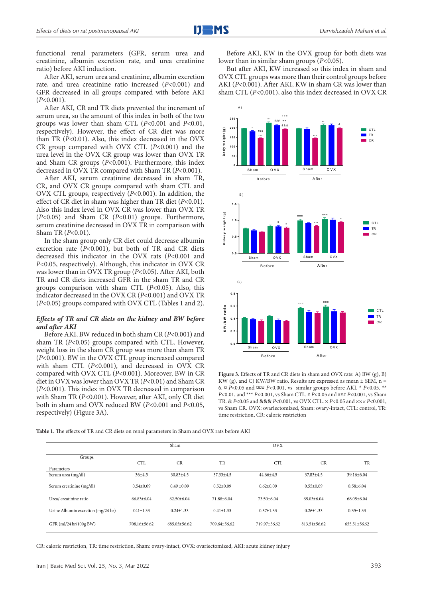functional renal parameters (GFR, serum urea and creatinine, albumin excretion rate, and urea creatinine ratio) before AKI induction.

After AKI, serum urea and creatinine, albumin excretion rate, and urea creatinine ratio increased (*P*<0.001) and GFR decreased in all groups compared with before AKI (*P*<0.001).

After AKI, CR and TR diets prevented the increment of serum urea, so the amount of this index in both of the two groups was lower than sham CTL (*P*<0.001 and *P*<0.01, respectively). However, the effect of CR diet was more than TR (*P*<0.01). Also, this index decreased in the OVX CR group compared with OVX CTL (*P*<0.001) and the urea level in the OVX CR group was lower than OVX TR and Sham CR groups ( $P < 0.001$ ). Furthermore, this index decreased in OVX TR compared with Sham TR (*P*<0.001).

After AKI, serum creatinine decreased in sham TR, CR, and OVX CR groups compared with sham CTL and OVX CTL groups, respectively (*P*<0.001). In addition, the effect of CR diet in sham was higher than TR diet (*P*<0.01). Also this index level in OVX CR was lower than OVX TR (*P*<0.05) and Sham CR (*P*<0.01) groups. Furthermore, serum creatinine decreased in OVX TR in comparison with Sham TR (*P*<0.01).

In the sham group only CR diet could decrease albumin excretion rate (*P*<0.001), but both of TR and CR diets decreased this indicator in the OVX rats (*P*<0.001 and *P*<0.05, respectively). Although, this indicator in OVX CR was lower than in OVX TR group (*P*<0.05). After AKI, both TR and CR diets increased GFR in the sham TR and CR groups comparison with sham CTL (*P*<0.05). Also, this indicator decreased in the OVX CR (*P*<0.001) and OVX TR (*P*<0.05) groups compared with OVX CTL (Tables 1 and 2).

# *Effects of TR and CR diets on the kidney and BW before and after AKI*

Before AKI, BW reduced in both sham CR (*P*<0.001) and sham TR (*P*<0.05) groups compared with CTL. However, weight loss in the sham CR group was more than sham TR (*P*<0.001). BW in the OVX CTL group increased compared with sham CTL (*P*<0.001), and decreased in OVX CR compared with OVX CTL (*P*<0.001). Moreover, BW in CR diet in OVX was lower than OVX TR (*P*<0.01) and Sham CR (*P*<0.001). This index in OVX TR decreased in comparison with Sham TR (*P*<0.001). However, after AKI, only CR diet both in sham and OVX reduced BW (*P*<0.001 and *P*<0.05, respectively) (Figure 3A).

Before AKI, KW in the OVX group for both diets was lower than in similar sham groups (*P*<0.05).

But after AKI, KW increased so this index in sham and OVX CTL groups was more than their control groups before AKI (*P*<0.001). After AKI, KW in sham CR was lower than sham CTL (*P*<0.001), also this index decreased in OVX CR



**Figure 3.** Effects of TR and CR diets in sham and OVX rats: A) BW (g), B) KW (g), and C) KW/BW ratio. Results are expressed as mean  $\pm$  SEM, n = 6. ¤ *P*<0.05 and ¤¤¤ *P*<0.001, vs similar groups before AKI. \* *P*<0.05, \*\* *P*<0.01, and \*\*\* *P*<0.001, vs Sham CTL. # *P*<0.05 and ### *P*<0.001, vs Sham TR. & *P*<0.05 and &&& *P*<0.001, vs OVX CTL. × *P*<0.05 and ××× *P*<0.001, vs Sham CR. OVX: ovariectomized, Sham: ovary-intact, CTL: control, TR: time restriction, CR: caloric restriction

**Table 1.** The effects of TR and CR diets on renal parameters in Sham and OVX rats before AKI

|                                    |                 | Sham            |                 | <b>OVX</b>      |                  |                  |
|------------------------------------|-----------------|-----------------|-----------------|-----------------|------------------|------------------|
| Groups<br>Parameters               | <b>CTL</b>      | CR              | TR              | <b>CTL</b>      | CR               | TR               |
| Serum urea (mg/dl)                 | $36 + 4.5$      | $30.83 \pm 4.5$ | $37.33 \pm 4.5$ | 44.66±4.5       | $37.83 \pm 4.5$  | 39.16±6.04       |
| Serum creatinine (mg/dl)           | $0.54 \pm 0.09$ | $0.49 \pm 0.09$ | $0.52 \pm 0.09$ | $0.62 \pm 0.09$ | $0.55 \pm 0.09$  | $0.58 + 6.04$    |
| Urea/ creatinine ratio             | $66.83\pm6.04$  | $62.50\pm6.04$  | 71.88±6.04      | 73.50±6.04      | $69.03 \pm 6.04$ | $68.05 \pm 6.04$ |
| Urine Albumin excretion (mg/24 hr) | $041 \pm 1.33$  | $0.24 \pm 1.33$ | $0.41 \pm 1.33$ | $0.37 \pm 1.33$ | $0.26 \pm 1.33$  | $0.35 \pm 1.33$  |
| GFR (ml/24 hr/100g BW)             | 708.16±56.62    | 685.05±56.62    | 709.64±56.62    | 719.97±56.62    | 813.51±56.62     | 655.51±56.62     |

CR: caloric restriction, TR: time restriction, Sham: ovary-intact, OVX: ovariectomized, AKI: acute kidney injury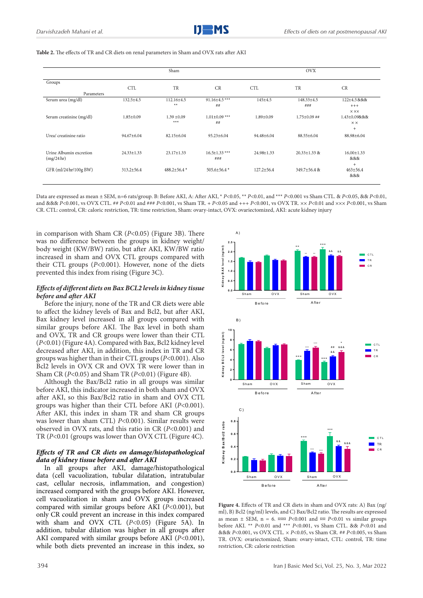|                                       |                  | Sham                      |                            |                  | <b>OVX</b>              |                                                       |
|---------------------------------------|------------------|---------------------------|----------------------------|------------------|-------------------------|-------------------------------------------------------|
| Groups                                | <b>CTL</b>       | TR                        | <b>CR</b>                  | <b>CTL</b>       | TR                      | CR                                                    |
| Parameters                            |                  |                           |                            |                  |                         |                                                       |
| Serum urea (mg/dl)                    | 132.5±4.5        | $112.16 \pm 4.5$<br>$***$ | 91.16±4.5***<br>##         | $145 \pm 4.5$    | $148.33 \pm 4.5$<br>### | 122±4.5 &&&<br>$^{+++}$<br>$\times$ $\times$ $\times$ |
| Serum creatinine (mg/dl)              | $1.85 \pm 0.09$  | $1.39 \pm 0.09$<br>$***$  | $1.01 \pm 0.09$ ***<br>##  | $1.89 \pm 0.09$  | $1.75 \pm 0.09$ ##      | 1.43±0.09&&&<br>$\times\times$<br>$\ddot{}$           |
| Urea/ creatinine ratio                | 94.67±6.04       | 82.15±6.04                | $95.23 \pm 6.04$           | 94.48±6.04       | 88.55±6.04              | 88.98±6.04                                            |
| Urine Albumin excretion<br>(mg/24 hr) | $24.33 \pm 1.33$ | $23.17 \pm 1.33$          | $16.5 \pm 1.33$ ***<br>### | 24.98±1.33       | $20.33 \pm 1.33$ &      | $16.00 \pm 1.33$<br><b>&amp;&amp;&amp;</b><br>$^{+}$  |
| GFR (ml/24 hr/100g BW)                | $313.2 \pm 56.4$ | $488.2 \pm 56.4$ *        | 505.6±56.4 *               | $127.2 \pm 56.4$ | $349.7 \pm 56.4$ &      | $463 \pm 56.4$<br>&&&                                 |

**Table 2.** The effects of TR and CR diets on renal parameters in Sham and OVX rats after AKI

Data are expressed as mean ± SEM, n=6 rats/group. B: Before AKI, A: After AKI, \* *P*<0.05, \*\* *P*<0.01, and \*\*\* *P*<0.001 vs Sham CTL. & *P*<0.05, && *P*<0.01, and &&& *P*<0.001, vs OVX CTL. ## *P*<0.01 and ### *P*<0.001, vs Sham TR. + *P*<0.05 and +++ *P*<0.001, vs OVX TR. ×× *P*<0.01 and ××× *P*<0.001, vs Sham CR. CTL: control, CR: caloric restriction, TR: time restriction, Sham: ovary-intact, OVX: ovariectomized, AKI: acute kidney injury

in comparison with Sham CR (*P*<0.05) (Figure 3B). There was no difference between the groups in kidney weight/ body weight (KW/BW) ratio, but after AKI, KW/BW ratio increased in sham and OVX CTL groups compared with their CTL groups (*P*<0.001). However, none of the diets prevented this index from rising (Figure 3C).

# *Effects of different diets on Bax BCL2 levels in kidney tissue before and after AKI*

Before the injury, none of the TR and CR diets were able to affect the kidney levels of Bax and Bcl2, but after AKI, Bax kidney level increased in all groups compared with similar groups before AKI. The Bax level in both sham and OVX, TR and CR groups were lower than their CTL (*P*<0.01) (Figure 4A). Compared with Bax, Bcl2 kidney level decreased after AKI, in addition, this index in TR and CR groups was higher than in their CTL groups (*P*<0.001). Also Bcl2 levels in OVX CR and OVX TR were lower than in Sham CR (*P*<0.05) and Sham TR (*P*<0.01) (Figure 4B).

Although the Bax/Bcl2 ratio in all groups was similar before AKI, this indicator increased in both sham and OVX after AKI, so this Bax/Bcl2 ratio in sham and OVX CTL groups was higher than their CTL before AKI (*P*<0.001). After AKI, this index in sham TR and sham CR groups was lower than sham CTL) *P*<0.001). Similar results were observed in OVX rats, and this ratio in CR (*P*<0.001) and TR (*P*<0.01 (groups was lower than OVX CTL (Figure 4C).

# *Effects of TR and CR diets on damage/histopathological data of kidney tissue before and after AKI*

In all groups after AKI, damage/histopathological data (cell vacuolization, tubular dilatation, intratubular cast, cellular necrosis, inflammation, and congestion) increased compared with the groups before AKI. However, cell vacuolization in sham and OVX groups increased compared with similar groups before AKI (*P*<0.001), but only CR could prevent an increase in this index compared with sham and OVX CTL (*P*<0.05) (Figure 5A). In addition, tubular dilation was higher in all groups after AKI compared with similar groups before AKI (*P*<0.001), while both diets prevented an increase in this index, so



**Figure 4.** Effects of TR and CR diets in sham and OVX rats: A) Bax (ng/ ml), B) Bcl2 (ng/ml) levels, and C) Bax/Bcl2 ratio. The results are expressed as mean  $\pm$  SEM, n = 6.  $\alpha$  $\alpha$  *P*<0.001 and  $\alpha$ <sup> $\alpha$ </sup> *P*<0.01 vs similar groups before AKI. \*\* *P*<0.01 and \*\*\* *P*<0.001, vs Sham CTL. && *P*<0.01 and &&& *P*<0.001, vs OVX CTL. × *P*<0.05, vs Sham CR. ## *P*<0.005, vs Sham TR. OVX: ovariectomized, Sham: ovary-intact, CTL: control, TR: time restriction, CR: calorie restriction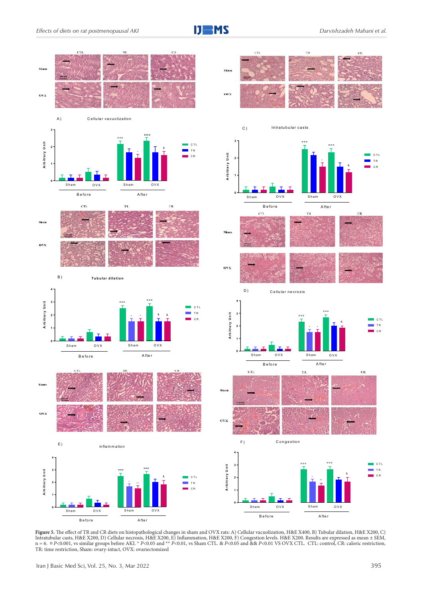



**Figure 5.** The effect of TR and CR diets on histopathological changes in sham and OVX rats: A) Cellular vacuolization, H&E X400, B) Tubular dilation, H&E X200, C) Intratubular casts, H&E X200, D) Cellular necrosis, H&E X200, E) Inflammation, H&E X200, F) Congestion levels. H&E X200. Results are expressed as mean ± SEM,<br>n = 6. ¤ P<0.001, vs similar groups before AKI. \* P<0.05 and \*\* TR: time restriction, Sham: ovary-intact, OVX: ovariectomized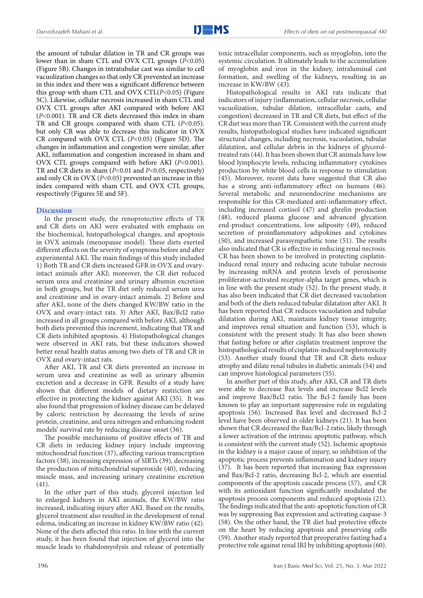the amount of tubular dilation in TR and CR groups was lower than in sham CTL and OVX CTL groups (*P*<0.05) (Figure 5B). Changes in intratubular cast was similar to cell vacuolization changes so that only CR prevented an increase in this index and there was a significant difference between this group with sham CTL and OVX CTL(*P*<0.05) (Figure 5C). Likewise, cellular necrosis increased in sham CTL and OVX CTL groups after AKI compared with before AKI (*P*<0.001). TR and CR diets decreased this index in sham TR and CR groups compared with sham CTL (*P*<0.05). but only CR was able to decrease this indicator in OVX CR compared with OVX CTL (*P*<0.05) (Figure 5D). The changes in inflammation and congestion were similar, after AKI, inflammation and congestion increased in sham and OVX CTL groups compared with before AKI (*P*<0.001). TR and CR diets in sham (*P*<0.01 and *P*<0.05, respectively) and only CR in OVX (*P*<0.05) prevented an increase in this index compared with sham CTL and OVX CTL groups, respectively (Figures 5E and 5F).

# **Discussion**

In the present study, the renoprotective effects of TR and CR diets on AKI were evaluated with emphasis on the biochemical, histopathological changes, and apoptosis in OVX animals (menopause model). These diets exerted different effects on the severity of symptoms before and after experimental AKI. The main findings of this study included 1) Both TR and CR diets increased GFR in OVX and ovaryintact animals after AKI; moreover, the CR diet reduced serum urea and creatinine and urinary albumin excretion in both groups, but the TR diet only reduced serum urea and creatinine and in ovary-intact animals. 2) Before and after AKI, none of the diets changed KW/BW ratio in the OVX and ovary-intact rats. 3) After AKI, Bax/Bcl2 ratio increased in all groups compared with before AKI, although both diets prevented this increment, indicating that TR and CR diets inhibited apoptosis. 4) Histopathological changes were observed in AKI rats, but these indicators showed better renal health status among two diets of TR and CR in OVX and ovary-intact rats.

After AKI, TR and CR diets prevented an increase in serum urea and creatinine as well as urinary albumin excretion and a decrease in GFR. Results of a study have shown that different models of dietary restriction are effective in protecting the kidney against AKI (35). It was also found that progression of kidney disease can be delayed by caloric restriction by decreasing the levels of urine protein, creatinine, and urea nitrogen and enhancing rodent models' survival rate by reducing disease onset (36).

The possible mechanisms of positive effects of TR and CR diets in reducing kidney injury include improving mitochondrial function (37), affecting various transcription factors (38), increasing expression of SIRTs (39), decreasing the production of mitochondrial superoxide (40), reducing muscle mass, and increasing urinary creatinine excretion (41).

In the other part of this study, glycerol injection led to enlarged kidneys in AKI animals, the KW/BW ratio increased, indicating injury after AKI. Based on the results, glycerol treatment also resulted in the development of renal edema, indicating an increase in kidney KW/BW ratio (42). None of the diets affected this ratio. In line with the current study, it has been found that injection of glycerol into the muscle leads to rhabdomyolysis and release of potentially toxic intracellular components, such as myoglobin, into the systemic circulation. It ultimately leads to the accumulation of myoglobin and iron in the kidney, intraluminal cast formation, and swelling of the kidneys, resulting in an increase in KW/BW (43).

Histopathological results in AKI rats indicate that indicators of injury (inflammation, cellular necrosis, cellular vacuolization, tubular dilation, intracellular casts, and congestion) decreased in TR and CR diets, but effect of the CR diet was more than TR. Consistent with the current study results, histopathological studies have indicated significant structural changes, including necrosis, vacuolation, tubular dilatation, and cellular debris in the kidneys of glyceroltreated rats (44). It has been shown thatCR animals have low blood lymphocyte levels, reducing inflammatory cytokines production by white blood cells in response to stimulation (45). Moreover, recent data have suggested that CR also has a strong anti-inflammatory effect on humans (46). Several metabolic and neuroendocrine mechanisms are responsible for this CR-mediated anti-inflammatory effect, including increased cortisol (47) and ghrelin production (48), reduced plasma glucose and advanced glycation end-product concentrations, low adiposity (49), reduced secretion of proinflammatory adipokines and cytokines (50), and increased parasympathetic tone (51). The results also indicated that CR is effective in reducing renal necrosis. CR has been shown to be involved in protecting cisplatininduced renal injury and reducing acute tubular necrosis by increasing mRNA and protein levels of peroxisome proliferator-activated receptor-alpha target genes, which is in line with the present study (52). In the present study, it has also been indicated that CR diet decreased vacuolation and both of the diets reduced tubular dilatation after AKI. It has been reported that CR reduces vacuolation and tubular dilatation during AKI, maintains kidney tissue integrity, and improves renal situation and function (53), which is consistent with the present study. It has also been shown that fasting before or after cisplatin treatment improve the histopathological results of cisplatin-induced nephrotoxicity (53). Another study found that TR and CR diets reduce atrophy and dilate renal tubules in diabetic animals (54) and can improve histological parameters (55).

In another part of this study, after AKI, CR and TR diets were able to decrease Bax levels and increase Bcl2 levels and improve Bax/Bcl2 ratio. The Bcl-2 family has been known to play an important suppressive role in regulating apoptosis (56). Increased Bax level and decreased Bcl-2 level have been observed in older kidneys (21). It has been shown that CR decreased the Bax/Bcl-2 ratio, likely through a lower activation of the intrinsic apoptotic pathway, which is consistent with the current study (52). Ischemic apoptosis in the kidney is a major cause of injury, so inhibition of the apoptotic process prevents inflammation and kidney injury (37). It has been reported that increasing Bax expression and Bax/Bcl-2 ratio, decreasing Bcl-2, which are essential components of the apoptosis cascade process (57), and CR with its antioxidant function significantly modulated the apoptosis process components and reduced apoptosis (21). The findings indicated that the anti-apoptotic function of CR was by suppressing Bax expression and activating caspase-3 (58). On the other hand, the TR diet had protective effects on the heart by reducing apoptosis and preserving cells (59). Another study reported that preoperative fasting had a protective role against renal IRI by inhibiting apoptosis(60).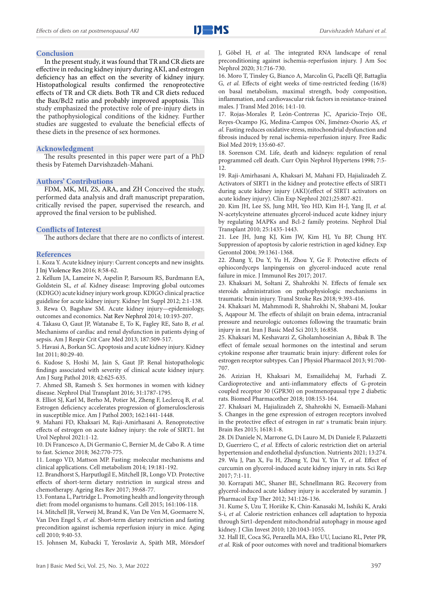#### **Conclusion**

In the present study, it was found that TR and CR diets are effective in reducing kidney injury during AKI, and estrogen deficiency has an effect on the severity of kidney injury. Histopathological results confirmed the renoprotective effects of TR and CR diets. Both TR and CR diets reduced the Bax/Bcl2 ratio and probably improved apoptosis. This study emphasized the protective role of pre-injury diets in the pathophysiological conditions of the kidney. Further studies are suggested to evaluate the beneficial effects of these diets in the presence of sex hormones.

#### **Acknowledgment**

The results presented in this paper were part of a PhD thesis by Fatemeh Darvishzadeh-Mahani.

#### **Authors' Contributions**

FDM, MK, MI, ZS, ARA, and ZH Conceived the study, performed data analysis and draft manuscript preparation, critically revised the paper, supervised the research, and approved the final version to be published.

### **Conflicts of Interest**

The authors declare that there are no conflicts of interest.

#### **References**

1. Koza Y. Acute kidney injury: Current concepts and new insights. J Inj Violence Res 2016; 8:58-62.

2. Kellum JA, Lameire N, Aspelin P, Barsoum RS, Burdmann EA, Goldstein SL*, et al.* Kidney disease: Improving global outcomes (KDIGO) acute kidney injury work group. KDIGO clinical practice guideline for acute kidney injury. Kidney Int Suppl 2012; 2:1-138.

3. Rewa O, Bagshaw SM. Acute kidney injury—epidemiology, outcomes and economics. Nat Rev Nephrol 2014; 10:193-207.

4. Takasu O, Gaut JP, Watanabe E, To K, Fagley RE, Sato B*, et al.* Mechanisms of cardiac and renal dysfunction in patients dying of sepsis. Am J Respir Crit Care Med 2013; 187:509-517.

5. Havasi A, Borkan SC. Apoptosis and acute kidney injury. Kidney Int 2011; 80:29-40.

6. Kudose S, Hoshi M, Jain S, Gaut JP. Renal histopathologic findings associated with severity of clinical acute kidney injury. Am J Surg Pathol 2018; 42:625-635.

7. Ahmed SB, Ramesh S. Sex hormones in women with kidney disease. Nephrol Dial Transplant 2016; 31:1787-1795.

8. Elliot SJ, Karl M, Berho M, Potier M, Zheng F, Leclercq B*, et al.* Estrogen deficiency accelerates progression of glomerulosclerosis in susceptible mice. Am J Pathol 2003; 162:1441-1448.

9. Mahani FD, Khaksari M, Raji-Amirhasani A. Renoprotective effects of estrogen on acute kidney injury: the role of SIRT1. Int Urol Nephrol 2021:1-12.

10. Di Francesco A, Di Germanio C, Bernier M, de Cabo R. A time to fast. Science 2018; 362:770-775.

11. Longo VD, Mattson MP. Fasting: molecular mechanisms and clinical applications. Cell metabolism 2014; 19:181-192.

12. Brandhorst S, Harputlugil E, Mitchell JR, Longo VD. Protective effects of short-term dietary restriction in surgical stress and chemotherapy. Ageing Res Rev 2017; 39:68-77.

13. Fontana L, Partridge L. Promoting health and longevity through diet: from model organisms to humans. Cell 2015; 161:106-118.

14. Mitchell JR, Verweij M, Brand K, Van De Ven M, Goemaere N, Van Den Engel S*, et al.* Short‐term dietary restriction and fasting precondition against ischemia reperfusion injury in mice. Aging cell 2010; 9:40-53.

15. Johnsen M, Kubacki T, Yeroslaviz A, Späth MR, Mörsdorf

J, Göbel H*, et al.* The integrated RNA landscape of renal preconditioning against ischemia-reperfusion injury. J Am Soc Nephrol 2020; 31:716-730.

16. Moro T, Tinsley G, Bianco A, Marcolin G, Pacelli QF, Battaglia G*, et al.* Effects of eight weeks of time-restricted feeding (16/8) on basal metabolism, maximal strength, body composition, inflammation, and cardiovascular risk factors in resistance-trained males. J Transl Med 2016; 14:1-10.

17. Rojas-Morales P, León-Contreras JC, Aparicio-Trejo OE, Reyes-Ocampo JG, Medina-Campos ON, Jiménez-Osorio AS*, et al.* Fasting reduces oxidative stress, mitochondrial dysfunction and fibrosis induced by renal ischemia-reperfusion injury. Free Radic Biol Med 2019; 135:60-67.

18. Sorenson CM. Life, death and kidneys: regulation of renal programmed cell death. Curr Opin Nephrol Hypertens 1998; 7:5- 12.

19. Raji-Amirhasani A, Khaksari M, Mahani FD, Hajializadeh Z. Activators of SIRT1 in the kidney and protective effects of SIRT1 during acute kidney injury (AKI)(effect of SIRT1 activators on acute kidney injury). Clin Exp Nephrol 2021;25:807-821.

20. Kim JH, Lee SS, Jung MH, Yeo HD, Kim H-J, Yang JI*, et al.* N-acetylcysteine attenuates glycerol-induced acute kidney injury by regulating MAPKs and Bcl-2 family proteins. Nephrol Dial Transplant 2010; 25:1435-1443.

21. Lee JH, Jung KJ, Kim JW, Kim HJ, Yu BP, Chung HY. Suppression of apoptosis by calorie restriction in aged kidney. Exp Gerontol 2004; 39:1361-1368.

22. Zhang Y, Du Y, Yu H, Zhou Y, Ge F. Protective effects of ophiocordyceps lanpingensis on glycerol-induced acute renal failure in mice. J Immunol Res 2017; 2017.

23. Khaksari M, Soltani Z, Shahrokhi N. Effects of female sex steroids administration on pathophysiologic mechanisms in traumatic brain injury. Transl Stroke Res 2018; 9:393-416.

24. Khaksari M, Mahmmodi R, Shahrokhi N, Shabani M, Joukar S, Aqapour M. The effects of shilajit on brain edema, intracranial pressure and neurologic outcomes following the traumatic brain injury in rat. Iran J Basic Med Sci 2013; 16:858.

25. Khaksari M, Keshavarzi Z, Gholamhoseinian A, Bibak B. The effect of female sexual hormones on the intestinal and serum cytokine response after traumatic brain injury: different roles for estrogen receptor subtypes. Can J Physiol Pharmacol 2013; 91:700- 707.

26. Azizian H, Khaksari M, Esmailidehaj M, Farhadi Z. Cardioprotective and anti-inflammatory effects of G-protein coupled receptor 30 (GPR30) on postmenopausal type 2 diabetic rats. Biomed Pharmacother 2018; 108:153-164.

27. Khaksari M, Hajializadeh Z, Shahrokhi N, Esmaeili-Mahani S. Changes in the gene expression of estrogen receptors involved in the protective effect of estrogen in rat׳ s trumatic brain injury. Brain Res 2015; 1618:1-8.

28. Di Daniele N, Marrone G, Di Lauro M, Di Daniele F, Palazzetti D, Guerriero C*, et al.* Effects of caloric restriction diet on arterial hypertension and endothelial dysfunction. Nutrients 2021; 13:274. 29. Wu J, Pan X, Fu H, Zheng Y, Dai Y, Yin Y*, et al.* Effect of curcumin on glycerol-induced acute kidney injury in rats. Sci Rep 2017; 7:1-11.

30. Korrapati MC, Shaner BE, Schnellmann RG. Recovery from glycerol-induced acute kidney injury is accelerated by suramin. J Pharmacol Exp Ther 2012; 341:126-136.

31. Kume S, Uzu T, Horiike K, Chin-Kanasaki M, Isshiki K, Araki S-i*, et al.* Calorie restriction enhances cell adaptation to hypoxia through Sirt1-dependent mitochondrial autophagy in mouse aged kidney. J Clin Invest 2010; 120:1043-1055.

32. Hall IE, Coca SG, Perazella MA, Eko UU, Luciano RL, Peter PR*, et al.* Risk of poor outcomes with novel and traditional biomarkers